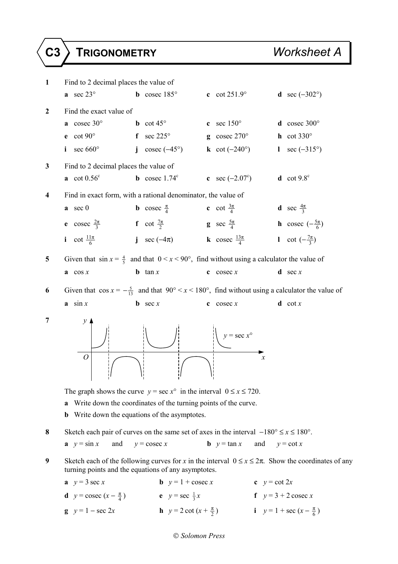## **C3 TRIGONOMETRY** *Worksheet A*

| $\mathbf{1}$            | Find to 2 decimal places the value of                                                                                                                                                                         |                                                                                             |                                   |                                                                                                                            |  |  |  |
|-------------------------|---------------------------------------------------------------------------------------------------------------------------------------------------------------------------------------------------------------|---------------------------------------------------------------------------------------------|-----------------------------------|----------------------------------------------------------------------------------------------------------------------------|--|--|--|
|                         | a sec $23^\circ$                                                                                                                                                                                              | <b>b</b> cosec $185^\circ$                                                                  | c $cot 251.9^\circ$               | <b>d</b> sec $(-302^{\circ})$                                                                                              |  |  |  |
| $\boldsymbol{2}$        | Find the exact value of                                                                                                                                                                                       |                                                                                             |                                   |                                                                                                                            |  |  |  |
|                         | a cosec $30^\circ$                                                                                                                                                                                            | <b>b</b> $\cot 45^\circ$                                                                    | sec $150^{\circ}$<br>$\mathbf{c}$ | $d$ cosec 300 $^{\circ}$                                                                                                   |  |  |  |
|                         | e cot $90^\circ$                                                                                                                                                                                              | f sec $225^\circ$                                                                           | g cosec $270^\circ$               | $h$ cot 330 $^{\circ}$                                                                                                     |  |  |  |
|                         | sec 660°<br>i                                                                                                                                                                                                 | $\csc(-45^\circ)$<br>$\mathbf{i}$                                                           | k cot $(-240^\circ)$              | sec $(-315^{\circ})$<br>$\mathbf{I}$                                                                                       |  |  |  |
| $\mathbf{3}$            | Find to 2 decimal places the value of                                                                                                                                                                         |                                                                                             |                                   |                                                                                                                            |  |  |  |
|                         | $\mathbf{a}$ cot $0.56^{\circ}$                                                                                                                                                                               | <b>b</b> cosec $1.74^c$                                                                     | <b>c</b> sec $(-2.07^{\circ})$    | <b>d</b> $\cot 9.8^\circ$                                                                                                  |  |  |  |
| $\overline{\mathbf{4}}$ | Find in exact form, with a rational denominator, the value of                                                                                                                                                 |                                                                                             |                                   |                                                                                                                            |  |  |  |
|                         | $a \sec 0$                                                                                                                                                                                                    | <b>b</b> cosec $\frac{\pi}{4}$                                                              | c cot $\frac{3\pi}{4}$            | <b>d</b> sec $\frac{4\pi}{3}$                                                                                              |  |  |  |
|                         |                                                                                                                                                                                                               | <b>e</b> cosec $\frac{2\pi}{3}$ <b>f</b> cot $\frac{7\pi}{2}$ <b>g</b> sec $\frac{5\pi}{4}$ |                                   | <b>h</b> cosec $\left(-\frac{5\pi}{6}\right)$                                                                              |  |  |  |
|                         |                                                                                                                                                                                                               | <b>i</b> cot $\frac{11\pi}{6}$ <b>j</b> sec (-4 $\pi$ ) <b>k</b> cosec $\frac{13\pi}{4}$    |                                   | 1 cot $\left(-\frac{7\pi}{3}\right)$                                                                                       |  |  |  |
| 5                       | Given that $\sin x = \frac{4}{5}$ and that $0 < x < 90^{\circ}$ , find without using a calculator the value of                                                                                                |                                                                                             |                                   |                                                                                                                            |  |  |  |
|                         | $a \cos x$                                                                                                                                                                                                    | <b>b</b> $\tan x$                                                                           | $\cos$ cosec x                    | <b>d</b> sec $x$                                                                                                           |  |  |  |
| 6                       |                                                                                                                                                                                                               |                                                                                             |                                   | Given that $\cos x = -\frac{5}{13}$ and that $90^{\circ} < x < 180^{\circ}$ , find without using a calculator the value of |  |  |  |
|                         | $a \sin x$                                                                                                                                                                                                    | <b>b</b> sec $x$                                                                            | $\cos$ cosec x                    | $d \cot x$                                                                                                                 |  |  |  |
| 7                       | $\mathcal{Y}$<br>$\overline{O}$                                                                                                                                                                               |                                                                                             | $y = \sec x^{\circ}$              | $\boldsymbol{x}$                                                                                                           |  |  |  |
|                         | The graph shows the curve $y = \sec x^{\circ}$ in the interval $0 \le x \le 720$ .<br>Write down the coordinates of the turning points of the curve.<br>a<br>Write down the equations of the asymptotes.<br>b |                                                                                             |                                   |                                                                                                                            |  |  |  |
| 8                       | Sketch each pair of curves on the same set of axes in the interval $-180^{\circ} \le x \le 180^{\circ}$ .                                                                                                     |                                                                                             |                                   |                                                                                                                            |  |  |  |
|                         | $x = \sin x$<br>and                                                                                                                                                                                           | $y = \csc x$                                                                                | <b>b</b> $y = \tan x$<br>and      | $y = \cot x$                                                                                                               |  |  |  |
| 9                       |                                                                                                                                                                                                               | turning points and the equations of any asymptotes.                                         |                                   | Sketch each of the following curves for x in the interval $0 \le x \le 2\pi$ . Show the coordinates of any                 |  |  |  |
|                         | <b>b</b> $y = 1 + \csc x$<br>$y = 3 \sec x$                                                                                                                                                                   |                                                                                             |                                   | c $y = \cot 2x$                                                                                                            |  |  |  |
|                         | <b>d</b> $y = \csc(x - \frac{\pi}{4})$                                                                                                                                                                        | e $y = \sec \frac{1}{3}x$                                                                   |                                   | f $y=3+2$ cosec x                                                                                                          |  |  |  |

*Solomon Press* 

**g**  $y = 1 - \sec 2x$  **h**  $y = 2 \cot (x + \frac{\pi}{2})$  **i**  $y = 1 + \sec (x - \frac{\pi}{6})$